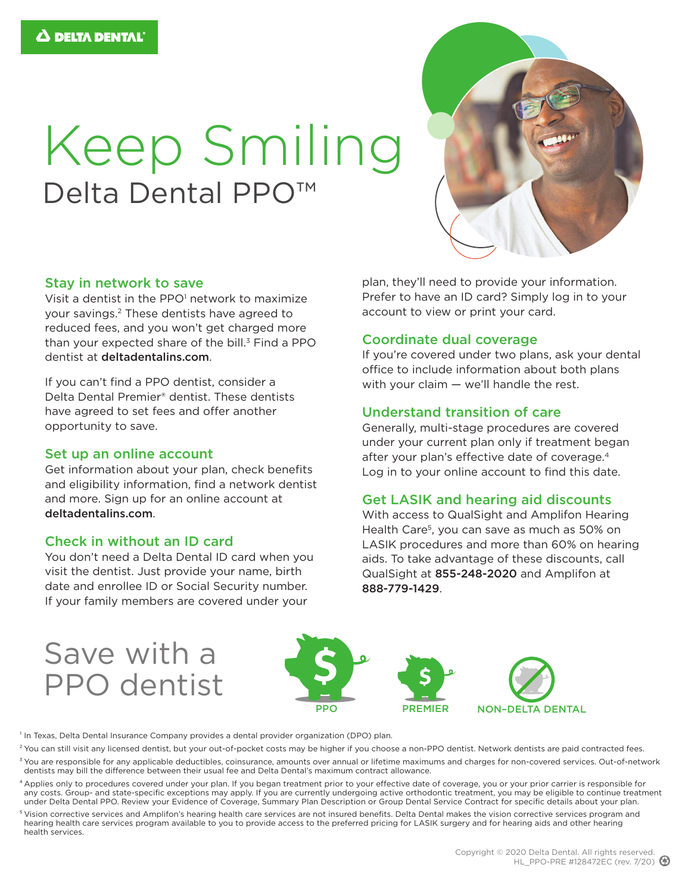# Keep Smiling Delta Dental PPO<sup>™</sup>



#### Stay in network to save

Visit a dentist in the PPO<sup>1</sup> network to maximize your savings.2 These dentists have agreed to reduced fees, and you won't get charged more than your expected share of the bill. $3$  Find a PPO dentist at deltadentalins.com.

If you can't find a PPO dentist, consider a Delta Dental Premier® dentist. These dentists have agreed to set fees and offer another opportunity to save.

#### Set up an online account

Get information about your plan, check benefits and eligibility information, find a network dentist and more. Sign up for an online account at deltadentalins.com.

#### Check in without an ID card

You don't need a Delta Dental ID card when you visit the dentist. Just provide your name, birth date and enrollee ID or Social Security number. If your family members are covered under your

plan, they'll need to provide your information. Prefer to have an ID card? Simply log in to your account to view or print your card.

#### Coordinate dual coverage

If you're covered under two plans, ask your dental office to include information about both plans with your claim — we'll handle the rest.

#### Understand transition of care

Generally, multi-stage procedures are covered under your current plan only if treatment began after your plan's effective date of coverage.4 Log in to your online account to find this date.

#### Get LASIK and hearing aid discounts

With access to QualSight and Amplifon Hearing Health Care<sup>5</sup>, you can save as much as 50% on LASIK procedures and more than 60% on hearing aids. To take advantage of these discounts, call QualSight at 855-248-2020 and Amplifon at 888-779-1429.

## Save with a PPO dentist



<sup>1</sup> In Texas, Delta Dental Insurance Company provides a dental provider organization (DPO) plan.

<sup>2</sup> You can still visit any licensed dentist, but your out-of-pocket costs may be higher if you choose a non-PPO dentist. Network dentists are paid contracted fees. <sup>3</sup> You are responsible for any applicable deductibles, coinsurance, amounts over annual or lifetime maximums and charges for non-covered services. Out-of-network

dentists may bill the difference between their usual fee and Delta Dental's maximum contract allowance. 4 Applies only to procedures covered under your plan. If you began treatment prior to your effective date of coverage, you or your prior carrier is responsible for any costs. Group- and state-specific exceptions may apply. If you are currently undergoing active orthodontic treatment, you may be eligible to continue treatment

under Delta Dental PPO. Review your Evidence of Coverage, Summary Plan Description or Group Dental Service Contract for specific details about your plan. <sup>5</sup> Vision corrective services and Amplifon's hearing health care services are not insured benefits. Delta Dental makes the vision corrective services program and hearing health care services program available to you to provide access to the preferred pricing for LASIK surgery and for hearing aids and other hearing health services.